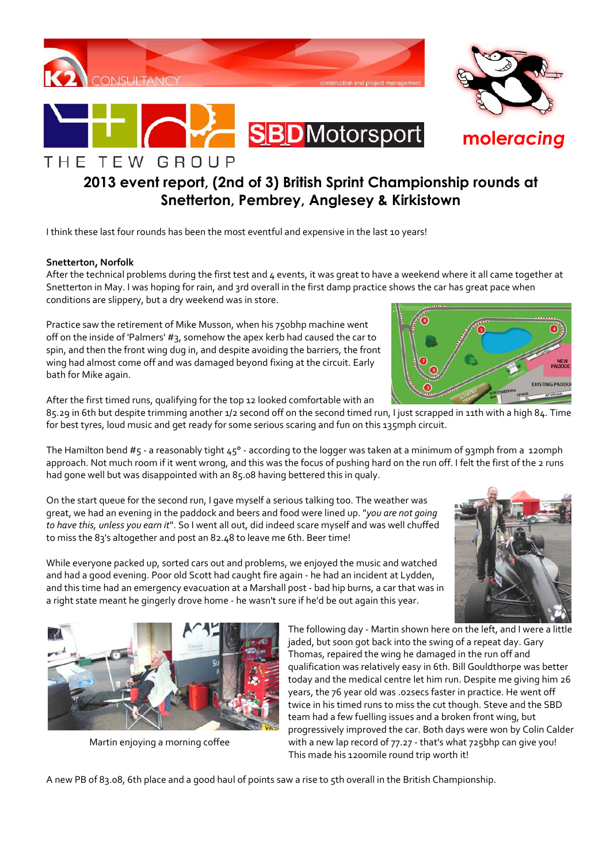

**mole***racing*

# **2013 event report, (2nd of 3) British Sprint Championship rounds at Snetterton, Pembrey, Anglesey & Kirkistown**

I think these last four rounds has been the most eventful and expensive in the last 10 years!

### **Snetterton, Norfolk**

THE TEW GROUP

After the technical problems during the first test and 4 events, it was great to have a weekend where it all came together at Snetterton in May. I was hoping for rain, and 3rd overall in the first damp practice shows the car has great pace when conditions are slippery, but a dry weekend was in store.

Practice saw the retirement of Mike Musson, when his 750bhp machine went off on the inside of 'Palmers' #3, somehow the apex kerb had caused the car to spin, and then the front wing dug in, and despite avoiding the barriers, the front wing had almost come off and was damaged beyond fixing at the circuit. Early bath for Mike again.

After the first timed runs, qualifying for the top 12 looked comfortable with an

85.29 in 6th but despite trimming another 1/2 second off on the second timed run, I just scrapped in 11th with a high 84. Time for best tyres, loud music and get ready for some serious scaring and fun on this 135mph circuit.

The Hamilton bend #5 - a reasonably tight 45° - according to the logger was taken at a minimum of 93mph from a 120mph approach. Not much room if it went wrong, and this was the focus of pushing hard on the run off. I felt the first of the 2 runs had gone well but was disappointed with an 85.08 having bettered this in qualy.

On the start queue for the second run, I gave myself a serious talking too. The weather was great, we had an evening in the paddock and beers and food were lined up. "*you are not going to have this, unless you earn it*". So I went all out, did indeed scare myself and was well chuffed to miss the 83's altogether and post an 82.48 to leave me 6th. Beer time!

While everyone packed up, sorted cars out and problems, we enjoyed the music and watched and had a good evening. Poor old Scott had caught fire again - he had an incident at Lydden, and this time had an emergency evacuation at a Marshall post - bad hip burns, a car that was in a right state meant he gingerly drove home - he wasn't sure if he'd be out again this year.

> The following day - Martin shown here on the left, and I were a little jaded, but soon got back into the swing of a repeat day. Gary Thomas, repaired the wing he damaged in the run off and qualification was relatively easy in 6th. Bill Gouldthorpe was better today and the medical centre let him run. Despite me giving him 26 years, the 76 year old was .02secs faster in practice. He went off twice in his timed runs to miss the cut though. Steve and the SBD team had a few fuelling issues and a broken front wing, but progressively improved the car. Both days were won by Colin Calder Martin enjoying a morning coffee with a new lap record of 77.27 - that's what 725bhp can give you! This made his 1200mile round trip worth it!

A new PB of 83.08, 6th place and a good haul of points saw a rise to 5th overall in the British Championship.





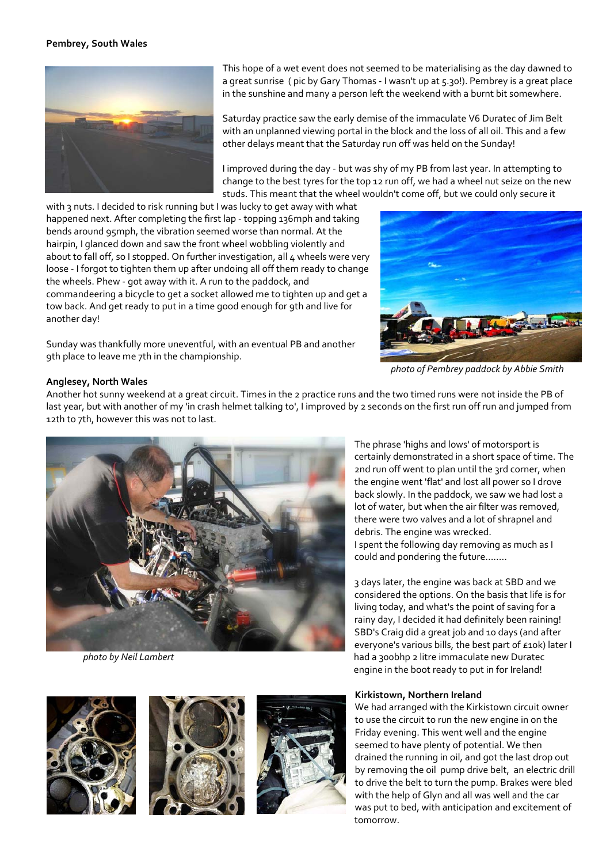## **Pembrey, South Wales**



This hope of a wet event does not seemed to be materialising as the day dawned to a great sunrise ( pic by Gary Thomas - I wasn't up at 5.30!). Pembrey is a great place in the sunshine and many a person left the weekend with a burnt bit somewhere.

Saturday practice saw the early demise of the immaculate V6 Duratec of Jim Belt with an unplanned viewing portal in the block and the loss of all oil. This and a few other delays meant that the Saturday run off was held on the Sunday!

I improved during the day - but was shy of my PB from last year. In attempting to change to the best tyres for the top 12 run off, we had a wheel nut seize on the new studs. This meant that the wheel wouldn't come off, but we could only secure it

with 3 nuts. I decided to risk running but I was lucky to get away with what happened next. After completing the first lap - topping 136mph and taking bends around 95mph, the vibration seemed worse than normal. At the hairpin, I glanced down and saw the front wheel wobbling violently and about to fall off, so I stopped. On further investigation, all 4 wheels were very loose - I forgot to tighten them up after undoing all off them ready to change the wheels. Phew - got away with it. A run to the paddock, and commandeering a bicycle to get a socket allowed me to tighten up and get a tow back. And get ready to put in a time good enough for 9th and live for another day!

Sunday was thankfully more uneventful, with an eventual PB and another 9th place to leave me 7th in the championship.



*photo of Pembrey paddock by Abbie Smith* 

## **Anglesey, North Wales**

Another hot sunny weekend at a great circuit. Times in the 2 practice runs and the two timed runs were not inside the PB of last year, but with another of my 'in crash helmet talking to', I improved by 2 seconds on the first run off run and jumped from 12th to 7th, however this was not to last.









The phrase 'highs and lows' of motorsport is certainly demonstrated in a short space of time. The 2nd run off went to plan until the 3rd corner, when the engine went 'flat' and lost all power so I drove back slowly. In the paddock, we saw we had lost a lot of water, but when the air filter was removed, there were two valves and a lot of shrapnel and debris. The engine was wrecked. I spent the following day removing as much as I could and pondering the future........

3 days later, the engine was back at SBD and we considered the options. On the basis that life is for living today, and what's the point of saving for a rainy day, I decided it had definitely been raining! SBD's Craig did a great job and 10 days (and after everyone's various bills, the best part of £10k) later I *photo by Neil Lambert* had a 300bhp 2 litre immaculate new Duratec engine in the boot ready to put in for Ireland!

### **Kirkistown, Northern Ireland**

We had arranged with the Kirkistown circuit owner to use the circuit to run the new engine in on the Friday evening. This went well and the engine seemed to have plenty of potential. We then drained the running in oil, and got the last drop out by removing the oil pump drive belt, an electric drill to drive the belt to turn the pump. Brakes were bled with the help of Glyn and all was well and the car was put to bed, with anticipation and excitement of